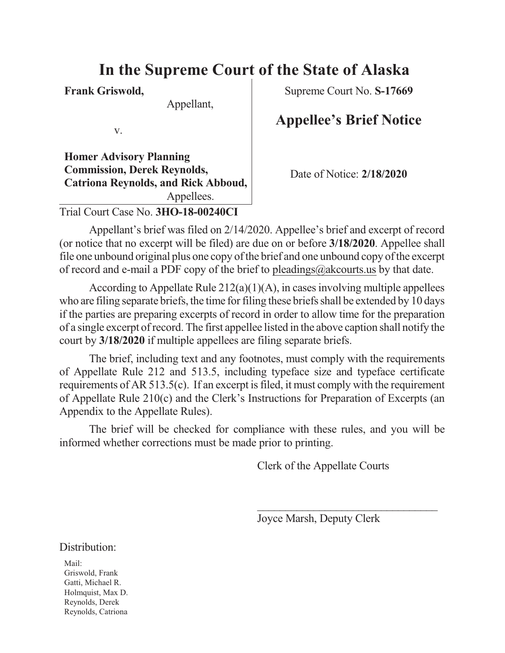## **In the Supreme Court of the State of Alaska**

**Frank Griswold,**

Appellant,

v.

**Homer Advisory Planning Commission, Derek Reynolds, Catriona Reynolds, and Rick Abboud,** Appellees. Trial Court Case No. **3HO-18-00240CI**

Supreme Court No. **S-17669**

## **Appellee's Brief Notice**

Date of Notice: **2/18/2020**

Appellant's brief was filed on 2/14/2020. Appellee's brief and excerpt of record (or notice that no excerpt will be filed) are due on or before **3/18/2020**. Appellee shall file one unbound original plus one copy of the brief and one unbound copy of the excerpt of record and e-mail a PDF copy of the brief to [pleadings@akcourts.us](mailto:pleadings@akcourts.us) by that date.

According to Appellate Rule  $212(a)(1)(A)$ , in cases involving multiple appellees who are filing separate briefs, the time for filing these briefs shall be extended by 10 days if the parties are preparing excerpts of record in order to allow time for the preparation of a single excerpt ofrecord. The first appellee listed in the above caption shall notify the court by **3/18/2020** if multiple appellees are filing separate briefs.

The brief, including text and any footnotes, must comply with the requirements of Appellate Rule 212 and 513.5, including typeface size and typeface certificate requirements of AR 513.5(c). If an excerpt is filed, it must comply with the requirement of Appellate Rule 210(c) and the Clerk's Instructions for Preparation of Excerpts (an Appendix to the Appellate Rules).

The brief will be checked for compliance with these rules, and you will be informed whether corrections must be made prior to printing.

Clerk of the Appellate Courts

Joyce Marsh, Deputy Clerk

 $\overline{\phantom{a}}$  , and the set of the set of the set of the set of the set of the set of the set of the set of the set of the set of the set of the set of the set of the set of the set of the set of the set of the set of the s

| Distribution: |
|---------------|
|               |

Mail: Griswold, Frank Gatti, Michael R. Holmquist, Max D. Reynolds, Derek Reynolds, Catriona